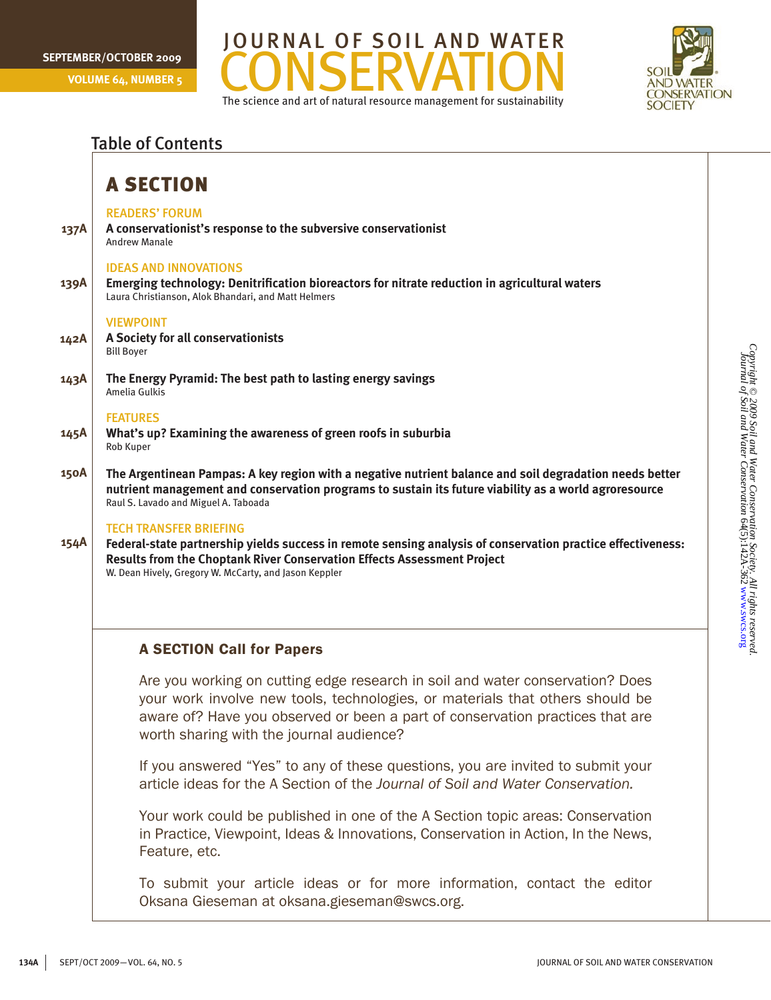**Volume 64, Number 5**





## **137A 139A 142A 143A 145A 150A 154A** Table of Contents A Section readers' forum **A conservationist's response to the subversive conservationist** Andrew Manale ideas and innovations **Emerging technology: Denitrification bioreactors for nitrate reduction in agricultural waters** Laura Christianson, Alok Bhandari, and Matt Helmers **VIEWPOINT A Society for all conservationists** Bill Boyer **The Energy Pyramid: The best path to lasting energy savings** Amelia Gulkis **FEATURES What's up? Examining the awareness of green roofs in suburbia** Rob Kuper **The Argentinean Pampas: A key region with a negative nutrient balance and soil degradation needs better nutrient management and conservation programs to sustain its future viability as a world agroresource** Raul S. Lavado and Miguel A. Taboada Tech transfer briefing **Federal-state partnership yields success in remote sensing analysis of conservation practice effectiveness: Results from the Choptank River Conservation Effects Assessment Project** W. Dean Hively, Gregory W. McCarty, and Jason Keppler A SECTION Call for Papers Are you working on cutting edge research in soil and water conservation? Does your work involve new tools, technologies, or materials that others should be aware of? Have you observed or been a part of conservation practices that are worth sharing with the journal audience?

If you answered "Yes" to any of these questions, you are invited to submit your article ideas for the A Section of the *Journal of Soil and Water Conservation.*

Your work could be published in one of the A Section topic areas: Conservation in Practice, Viewpoint, Ideas & Innovations, Conservation in Action, In the News, Feature, etc.

To submit your article ideas or for more information, contact the editor Oksana Gieseman at oksana.gieseman@swcs.org.